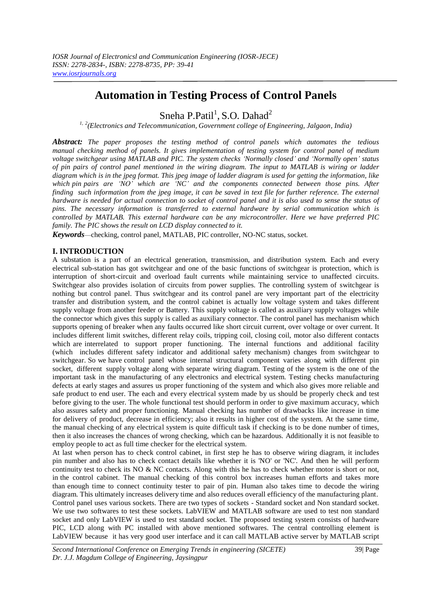# **Automation in Testing Process of Control Panels**

Sneha P.Patil<sup>1</sup>, S.O. Dahad<sup>2</sup>

*1, 2 (Electronics and Telecommunication, Government college of Engineering, Jalgaon, India)*

*Abstract: The paper proposes the testing method of control panels which automates the tedious manual checking method of panels. It gives implementation of testing system for control panel of medium voltage switchgear using MATLAB and PIC. The system checks 'Normally closed' and 'Normally open' status of pin pairs of control panel mentioned in the wiring diagram. The input to MATLAB is wiring or ladder diagram which is in the jpeg format. This jpeg image of ladder diagram is used for getting the information, like* which pin pairs are 'NO' which are 'NC' and the components connected between those pins. After *finding such information from the jpeg image, it can be saved in text file for further reference. The external* hardware is needed for actual connection to socket of control panel and it is also used to sense the status of *pins. The necessary information is transferred to external hardware by serial communication which is controlled by MATLAB. This external hardware can be any microcontroller. Here we have preferred PIC family. The PIC shows the result on LCD display connected to it.*

*Keywords*—checking, control panel, MATLAB, PIC controller, NO-NC status, socket.

# **I. INTRODUCTION**

A substation is a part of an electrical generation, transmission, and distribution system. Each and every electrical sub-station has got switchgear and one of the basic functions of switchgear is protection, which is interruption of short-circuit and overload fault currents while maintaining service to unaffected circuits. Switchgear also provides isolation of circuits from power supplies. The controlling system of switchgear is nothing but control panel. Thus switchgear and its control panel are very important part of the electricity transfer and distribution system, and the control cabinet is actually low voltage system and takes different supply voltage from another feeder or Battery. This supply voltage is called as auxiliary supply voltages while the connector which gives this supply is called as auxiliary connector. The control panel has mechanism which supports opening of breaker when any faults occurred like short circuit current, over voltage or over current. It includes different limit switches, different relay coils, tripping coil, closing coil, motor also different contacts which are interrelated to support proper functioning. The internal functions and additional facility (which includes different safety indicator and additional safety mechanism) changes from switchgear to switchgear. So we have control panel whose internal structural component varies along with different pin socket, different supply voltage along with separate wiring diagram. Testing of the system is the one of the important task in the manufacturing of any electronics and electrical system. Testing checks manufacturing defects at early stages and assures us proper functioning of the system and which also gives more reliable and safe product to end user. The each and every electrical system made by us should be properly check and test before giving to the user. The whole functional test should perform in order to give maximum accuracy, which also assures safety and proper functioning. Manual checking has number of drawbacks like increase in time for delivery of product, decrease in efficiency; also it results in higher cost of the system. At the same time, the manual checking of any electrical system is quite difficult task if checking is to be done number of times, then it also increases the chances of wrong checking, which can be hazardous. Additionally it is not feasible to employ people to act as full time checker for the electrical system.

At last when person has to check control cabinet, in first step he has to observe wiring diagram, it includes pin number and also has to check contact details like whether it is 'NO' or 'NC'. And then he will perform continuity test to check its NO & NC contacts. Along with this he has to check whether motor is short or not, in the control cabinet. The manual checking of this control box increases human efforts and takes more than enough time to connect continuity tester to pair of pin. Human also takes time to decode the wiring diagram. This ultimately increases delivery time and also reduces overall efficiency of the manufacturing plant. Control panel uses various sockets. There are two types of sockets - Standard socket and Non standard socket. We use two softwares to test these sockets. LabVIEW and MATLAB software are used to test non standard socket and only LabVIEW is used to test standard socket. The proposed testing system consists of hardware PIC, LCD along with PC installed with above mentioned softwares. The central controlling element is LabVIEW because it has very good user interface and it can call MATLAB active server by MATLAB script

*Second International Conference on Emerging Trends in engineering (SICETE)* 39| Page *Dr. J.J. Magdum College of Engineering, Jaysingpur*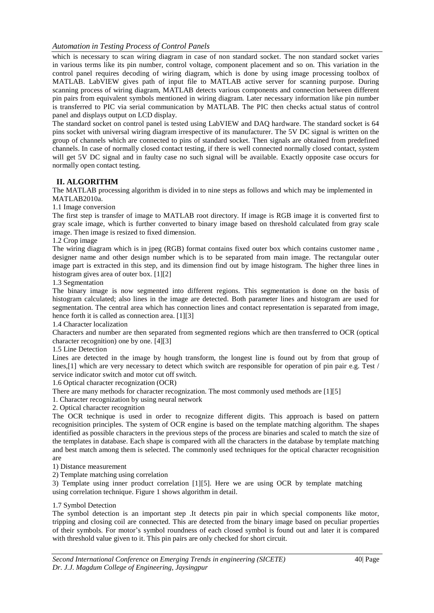which is necessary to scan wiring diagram in case of non standard socket. The non standard socket varies in various terms like its pin number, control voltage, component placement and so on. This variation in the control panel requires decoding of wiring diagram, which is done by using image processing toolbox of MATLAB. LabVIEW gives path of input file to MATLAB active server for scanning purpose. During scanning process of wiring diagram, MATLAB detects various components and connection between different pin pairs from equivalent symbols mentioned in wiring diagram. Later necessary information like pin number is transferred to PIC via serial communication by MATLAB. The PIC then checks actual status of control panel and displays output on LCD display.

The standard socket on control panel is tested using LabVIEW and DAQ hardware. The standard socket is 64 pins socket with universal wiring diagram irrespective of its manufacturer. The 5V DC signal is written on the group of channels which are connected to pins of standard socket. Then signals are obtained from predefined channels. In case of normally closed contact testing, if there is well connected normally closed contact, system will get 5V DC signal and in faulty case no such signal will be available. Exactly opposite case occurs for normally open contact testing.

# **II. ALGORITHM**

The MATLAB processing algorithm is divided in to nine steps as follows and which may be implemented in MATLAB2010a.

1.1 Image conversion

The first step is transfer of image to MATLAB root directory. If image is RGB image it is converted first to gray scale image, which is further converted to binary image based on threshold calculated from gray scale image. Then image is resized to fixed dimension.

## 1.2 Crop image

The wiring diagram which is in jpeg (RGB) format contains fixed outer box which contains customer name , designer name and other design number which is to be separated from main image. The rectangular outer image part is extracted in this step, and its dimension find out by image histogram. The higher three lines in histogram gives area of outer box. [1][2]

## 1.3 Segmentation

The binary image is now segmented into different regions. This segmentation is done on the basis of histogram calculated; also lines in the image are detected. Both parameter lines and histogram are used for segmentation. The central area which has connection lines and contact representation is separated from image, hence forth it is called as connection area. [1][3]

1.4 Character localization

Characters and number are then separated from segmented regions which are then transferred to OCR (optical character recognition) one by one. [4][3]

## 1.5 Line Detection

Lines are detected in the image by hough transform, the longest line is found out by from that group of lines,[1] which are very necessary to detect which switch are responsible for operation of pin pair e.g. Test / service indicator switch and motor cut off switch.

1.6 Optical character recognization (OCR)

There are many methods for character recognization. The most commonly used methods are [1][5]

1. Character recognization by using neural network

2. Optical character recognition

The OCR technique is used in order to recognize different digits. This approach is based on pattern recognisition principles. The system of OCR engine is based on the template matching algorithm. The shapes identified as possible characters in the previous steps of the process are binaries and scaled to match the size of the templates in database. Each shape is compared with all the characters in the database by template matching and best match among them is selected. The commonly used techniques for the optical character recognisition are

1) Distance measurement

2) Template matching using correlation

3) Template using inner product correlation [1][5]. Here we are using OCR by template matching using correlation technique. Figure 1 shows algorithm in detail.

## 1.7 Symbol Detection

The symbol detection is an important step .It detects pin pair in which special components like motor, tripping and closing coil are connected. This are detected from the binary image based on peculiar properties of their symbols. For motor"s symbol roundness of each closed symbol is found out and later it is compared with threshold value given to it. This pin pairs are only checked for short circuit.